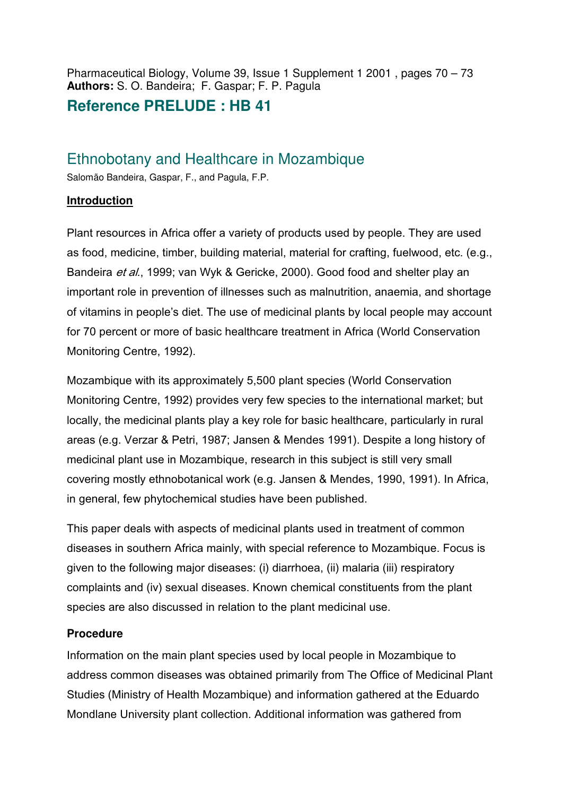Pharmaceutical Biology, Volume 39, Issue 1 Supplement 1 2001 , pages 70 – 73 **Authors:** S. O. Bandeira; F. Gaspar; F. P. Pagula

## **Reference PRELUDE : HB 41**

# Ethnobotany and Healthcare in Mozambique

Salomão Bandeira, Gaspar, F., and Pagula, F.P.

### **Introduction**

Plant resources in Africa offer a variety of products used by people. They are used as food, medicine, timber, building material, material for crafting, fuelwood, etc. (e.g., Bandeira et al., 1999; van Wyk & Gericke, 2000). Good food and shelter play an important role in prevention of illnesses such as malnutrition, anaemia, and shortage of vitamins in people's diet. The use of medicinal plants by local people may account for 70 percent or more of basic healthcare treatment in Africa (World Conservation Monitoring Centre, 1992).

Mozambique with its approximately 5,500 plant species (World Conservation Monitoring Centre, 1992) provides very few species to the international market; but locally, the medicinal plants play a key role for basic healthcare, particularly in rural areas (e.g. Verzar & Petri, 1987; Jansen & Mendes 1991). Despite a long history of medicinal plant use in Mozambique, research in this subject is still very small covering mostly ethnobotanical work (e.g. Jansen & Mendes, 1990, 1991). In Africa, in general, few phytochemical studies have been published.

This paper deals with aspects of medicinal plants used in treatment of common diseases in southern Africa mainly, with special reference to Mozambique. Focus is given to the following major diseases: (i) diarrhoea, (ii) malaria (iii) respiratory complaints and (iv) sexual diseases. Known chemical constituents from the plant species are also discussed in relation to the plant medicinal use.

### **Procedure**

Information on the main plant species used by local people in Mozambique to address common diseases was obtained primarily from The Office of Medicinal Plant Studies (Ministry of Health Mozambique) and information gathered at the Eduardo Mondlane University plant collection. Additional information was gathered from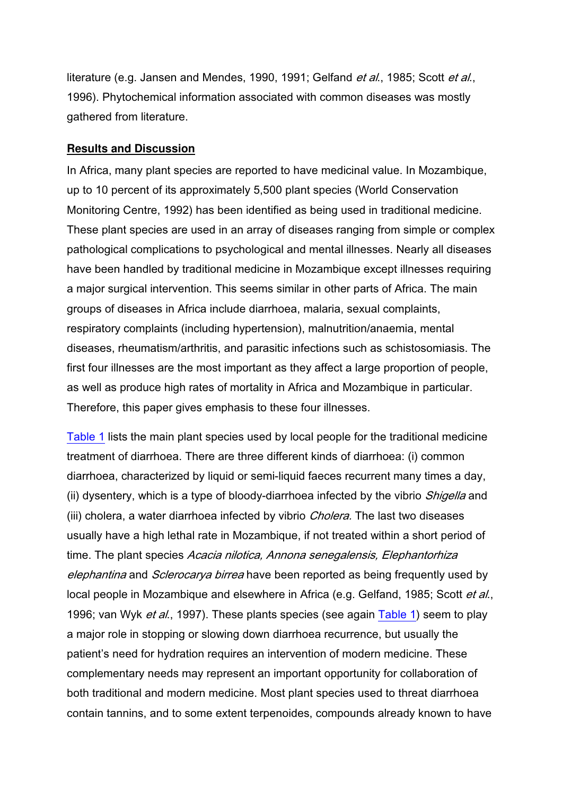literature (e.g. Jansen and Mendes, 1990, 1991; Gelfand et al., 1985; Scott et al., 1996). Phytochemical information associated with common diseases was mostly gathered from literature.

#### **Results and Discussion**

In Africa, many plant species are reported to have medicinal value. In Mozambique, up to 10 percent of its approximately 5,500 plant species (World Conservation Monitoring Centre, 1992) has been identified as being used in traditional medicine. These plant species are used in an array of diseases ranging from simple or complex pathological complications to psychological and mental illnesses. Nearly all diseases have been handled by traditional medicine in Mozambique except illnesses requiring a major surgical intervention. This seems similar in other parts of Africa. The main groups of diseases in Africa include diarrhoea, malaria, sexual complaints, respiratory complaints (including hypertension), malnutrition/anaemia, mental diseases, rheumatism/arthritis, and parasitic infections such as schistosomiasis. The first four illnesses are the most important as they affect a large proportion of people, as well as produce high rates of mortality in Africa and Mozambique in particular. Therefore, this paper gives emphasis to these four illnesses.

Table 1 lists the main plant species used by local people for the traditional medicine treatment of diarrhoea. There are three different kinds of diarrhoea: (i) common diarrhoea, characterized by liquid or semi-liquid faeces recurrent many times a day, (ii) dysentery, which is a type of bloody-diarrhoea infected by the vibrio *Shigella* and (iii) cholera, a water diarrhoea infected by vibrio *Cholera*. The last two diseases usually have a high lethal rate in Mozambique, if not treated within a short period of time. The plant species Acacia nilotica, Annona senegalensis, Elephantorhiza elephantina and Sclerocarya birrea have been reported as being frequently used by local people in Mozambique and elsewhere in Africa (e.g. Gelfand, 1985; Scott et al., 1996; van Wyk *et al.*, 1997). These plants species (see again Table 1) seem to play a major role in stopping or slowing down diarrhoea recurrence, but usually the patient's need for hydration requires an intervention of modern medicine. These complementary needs may represent an important opportunity for collaboration of both traditional and modern medicine. Most plant species used to threat diarrhoea contain tannins, and to some extent terpenoides, compounds already known to have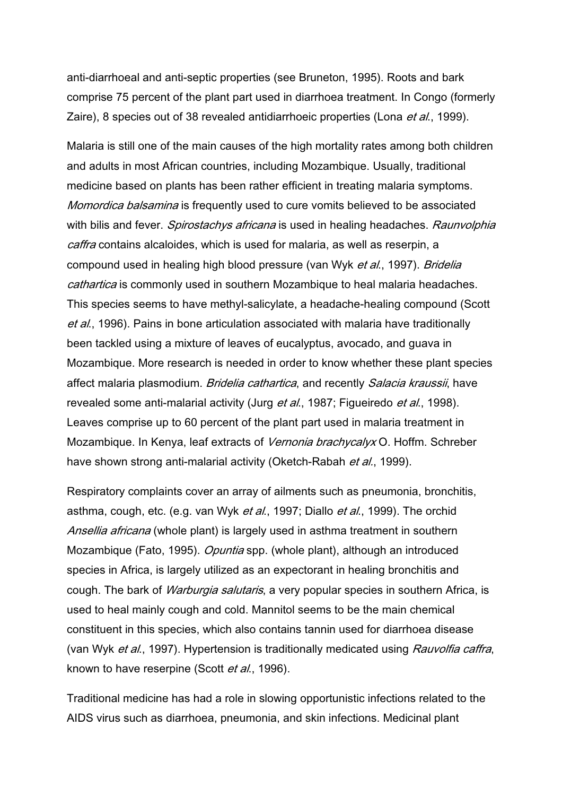anti-diarrhoeal and anti-septic properties (see Bruneton, 1995). Roots and bark comprise 75 percent of the plant part used in diarrhoea treatment. In Congo (formerly Zaire), 8 species out of 38 revealed antidiarrhoeic properties (Lona et al., 1999).

Malaria is still one of the main causes of the high mortality rates among both children and adults in most African countries, including Mozambique. Usually, traditional medicine based on plants has been rather efficient in treating malaria symptoms. Momordica balsamina is frequently used to cure vomits believed to be associated with bilis and fever. *Spirostachys africana* is used in healing headaches. Raunvolphia caffra contains alcaloides, which is used for malaria, as well as reserpin, a compound used in healing high blood pressure (van Wyk et al., 1997). Bridelia cathartica is commonly used in southern Mozambique to heal malaria headaches. This species seems to have methyl-salicylate, a headache-healing compound (Scott et al., 1996). Pains in bone articulation associated with malaria have traditionally been tackled using a mixture of leaves of eucalyptus, avocado, and guava in Mozambique. More research is needed in order to know whether these plant species affect malaria plasmodium. Bridelia cathartica, and recently Salacia kraussii, have revealed some anti-malarial activity (Jurg et al., 1987; Figueiredo et al., 1998). Leaves comprise up to 60 percent of the plant part used in malaria treatment in Mozambique. In Kenya, leaf extracts of *Vernonia brachycalyx* O. Hoffm. Schreber have shown strong anti-malarial activity (Oketch-Rabah *et al.*, 1999).

Respiratory complaints cover an array of ailments such as pneumonia, bronchitis, asthma, cough, etc. (e.g. van Wyk et al., 1997; Diallo et al., 1999). The orchid Ansellia africana (whole plant) is largely used in asthma treatment in southern Mozambique (Fato, 1995). *Opuntia* spp. (whole plant), although an introduced species in Africa, is largely utilized as an expectorant in healing bronchitis and cough. The bark of *Warburgia salutaris*, a very popular species in southern Africa, is used to heal mainly cough and cold. Mannitol seems to be the main chemical constituent in this species, which also contains tannin used for diarrhoea disease (van Wyk et al., 1997). Hypertension is traditionally medicated using Rauvolfia caffra, known to have reserpine (Scott et al., 1996).

Traditional medicine has had a role in slowing opportunistic infections related to the AIDS virus such as diarrhoea, pneumonia, and skin infections. Medicinal plant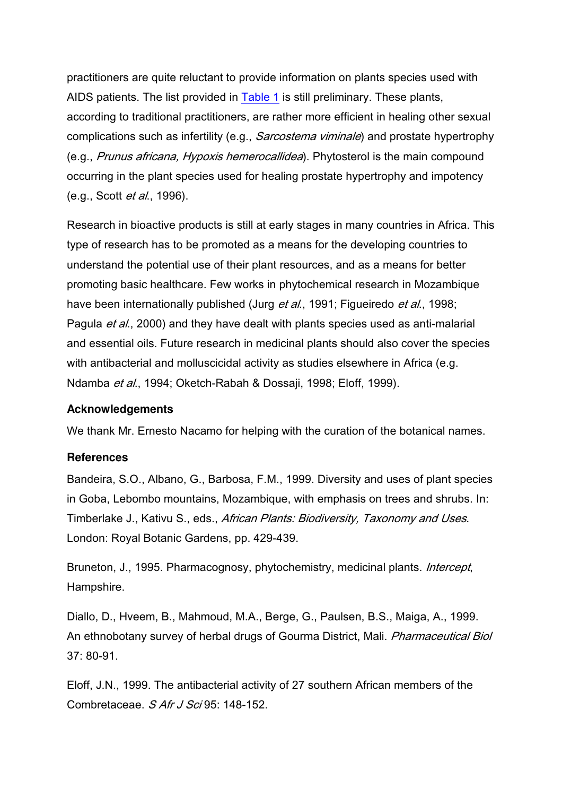practitioners are quite reluctant to provide information on plants species used with AIDS patients. The list provided in Table 1 is still preliminary. These plants, according to traditional practitioners, are rather more efficient in healing other sexual complications such as infertility (e.g., *Sarcostema viminale*) and prostate hypertrophy (e.g., Prunus africana, Hypoxis hemerocallidea). Phytosterol is the main compound occurring in the plant species used for healing prostate hypertrophy and impotency (e.g., Scott et al., 1996).

Research in bioactive products is still at early stages in many countries in Africa. This type of research has to be promoted as a means for the developing countries to understand the potential use of their plant resources, and as a means for better promoting basic healthcare. Few works in phytochemical research in Mozambique have been internationally published (Jurg et al., 1991; Figueiredo et al., 1998; Pagula *et al.*, 2000) and they have dealt with plants species used as anti-malarial and essential oils. Future research in medicinal plants should also cover the species with antibacterial and molluscicidal activity as studies elsewhere in Africa (e.g. Ndamba et al., 1994; Oketch-Rabah & Dossaji, 1998; Eloff, 1999).

#### **Acknowledgements**

We thank Mr. Ernesto Nacamo for helping with the curation of the botanical names.

#### **References**

Bandeira, S.O., Albano, G., Barbosa, F.M., 1999. Diversity and uses of plant species in Goba, Lebombo mountains, Mozambique, with emphasis on trees and shrubs. In: Timberlake J., Kativu S., eds., African Plants: Biodiversity, Taxonomy and Uses. London: Royal Botanic Gardens, pp. 429-439.

Bruneton, J., 1995. Pharmacognosy, phytochemistry, medicinal plants. *Intercept*, Hampshire.

Diallo, D., Hveem, B., Mahmoud, M.A., Berge, G., Paulsen, B.S., Maiga, A., 1999. An ethnobotany survey of herbal drugs of Gourma District, Mali. Pharmaceutical Biol 37: 80-91.

Eloff, J.N., 1999. The antibacterial activity of 27 southern African members of the Combretaceae. S Afr J Sci 95: 148-152.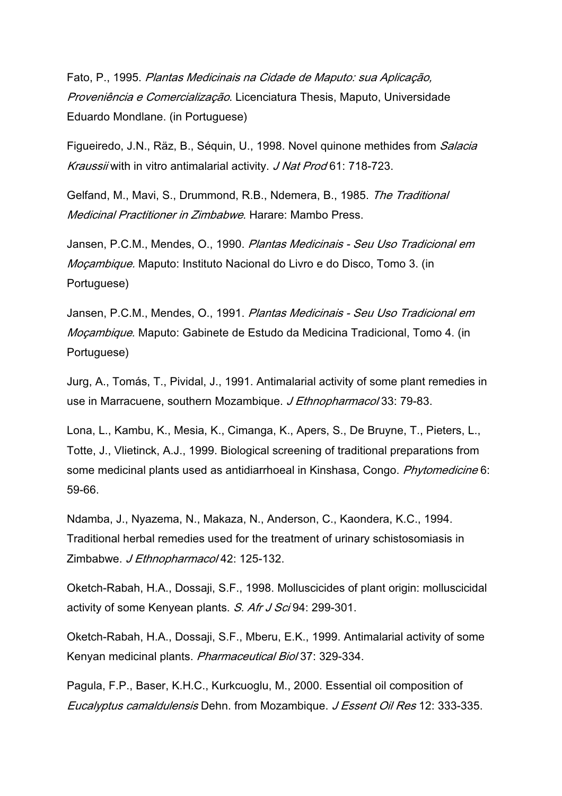Fato, P., 1995. Plantas Medicinais na Cidade de Maputo: sua Aplicação, Proveniência e Comercialização. Licenciatura Thesis, Maputo, Universidade Eduardo Mondlane. (in Portuguese)

Figueiredo, J.N., Räz, B., Séquin, U., 1998. Novel quinone methides from *Salacia* Kraussii with in vitro antimalarial activity. J Nat Prod 61: 718-723.

Gelfand, M., Mavi, S., Drummond, R.B., Ndemera, B., 1985. The Traditional Medicinal Practitioner in Zimbabwe. Harare: Mambo Press.

Jansen, P.C.M., Mendes, O., 1990. Plantas Medicinais - Seu Uso Tradicional em Moçambique. Maputo: Instituto Nacional do Livro e do Disco, Tomo 3. (in Portuguese)

Jansen, P.C.M., Mendes, O., 1991. Plantas Medicinais - Seu Uso Tradicional em Moçambique. Maputo: Gabinete de Estudo da Medicina Tradicional, Tomo 4. (in Portuguese)

Jurg, A., Tomás, T., Pividal, J., 1991. Antimalarial activity of some plant remedies in use in Marracuene, southern Mozambique. J Ethnopharmacol 33: 79-83.

Lona, L., Kambu, K., Mesia, K., Cimanga, K., Apers, S., De Bruyne, T., Pieters, L., Totte, J., Vlietinck, A.J., 1999. Biological screening of traditional preparations from some medicinal plants used as antidiarrhoeal in Kinshasa, Congo. Phytomedicine 6: 59-66.

Ndamba, J., Nyazema, N., Makaza, N., Anderson, C., Kaondera, K.C., 1994. Traditional herbal remedies used for the treatment of urinary schistosomiasis in Zimbabwe. J Ethnopharmacol 42: 125-132.

Oketch-Rabah, H.A., Dossaji, S.F., 1998. Molluscicides of plant origin: molluscicidal activity of some Kenyean plants. S. Afr J Sci 94: 299-301.

Oketch-Rabah, H.A., Dossaji, S.F., Mberu, E.K., 1999. Antimalarial activity of some Kenyan medicinal plants. Pharmaceutical Biol 37: 329-334.

Pagula, F.P., Baser, K.H.C., Kurkcuoglu, M., 2000. Essential oil composition of Eucalyptus camaldulensis Dehn. from Mozambique. J Essent Oil Res 12: 333-335.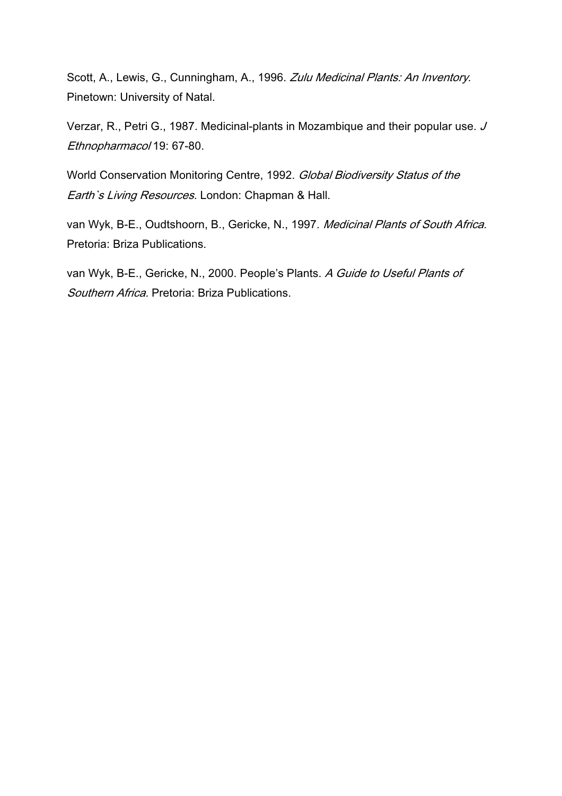Scott, A., Lewis, G., Cunningham, A., 1996. Zulu Medicinal Plants: An Inventory. Pinetown: University of Natal.

Verzar, R., Petri G., 1987. Medicinal-plants in Mozambique and their popular use. J Ethnopharmacol 19: 67-80.

World Conservation Monitoring Centre, 1992. Global Biodiversity Status of the Earth's Living Resources. London: Chapman & Hall.

van Wyk, B-E., Oudtshoorn, B., Gericke, N., 1997. Medicinal Plants of South Africa. Pretoria: Briza Publications.

van Wyk, B-E., Gericke, N., 2000. People's Plants. A Guide to Useful Plants of Southern Africa. Pretoria: Briza Publications.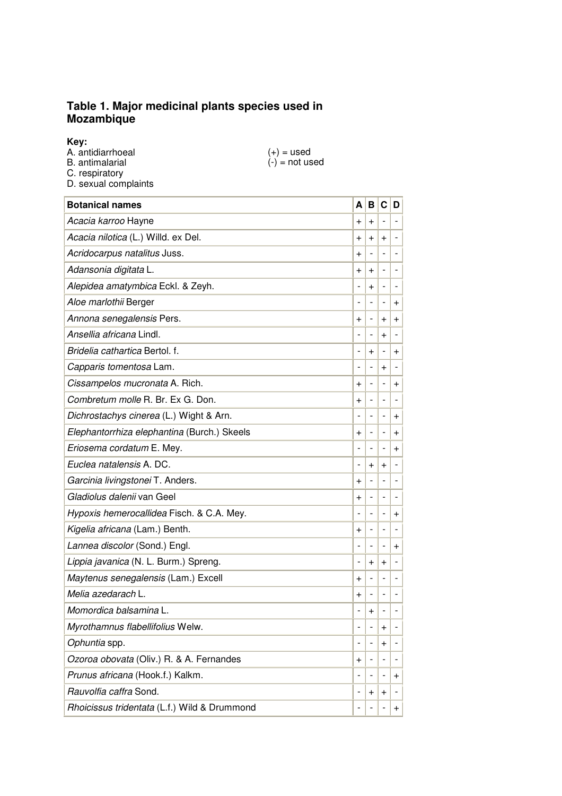#### **Table 1. Major medicinal plants species used in Mozambique**

**Key:**

| $(+) =$ used     |
|------------------|
| $(-)$ = not used |
|                  |
|                  |
|                  |

| <b>Botanical names</b>                       | A              | B              | $\mathbf c$              | D                        |
|----------------------------------------------|----------------|----------------|--------------------------|--------------------------|
| Acacia karroo Hayne                          | $\,{}^+$       | $+$            |                          |                          |
| Acacia nilotica (L.) Willd. ex Del.          | +              | $\ddot{}$      | $\ddot{}$                |                          |
| Acridocarpus natalitus Juss.                 | $\ddot{}$      |                |                          |                          |
| Adansonia digitata L.                        | $\ddot{}$      | $\ddot{}$      | $\overline{\phantom{0}}$ |                          |
| Alepidea amatymbica Eckl. & Zeyh.            | -              | $\ddot{}$      | $\overline{\phantom{0}}$ |                          |
| Aloe marlothii Berger                        |                | $\overline{a}$ | $\overline{\phantom{0}}$ | +                        |
| Annona senegalensis Pers.                    | $\ddot{}$      | -              | $\ddot{}$                | $\ddot{}$                |
| Ansellia africana Lindl.                     |                |                | $\ddot{}$                |                          |
| Bridelia cathartica Bertol. f.               |                | $\ddot{}$      |                          | +                        |
| Capparis tomentosa Lam.                      |                |                | $\ddot{}$                |                          |
| Cissampelos mucronata A. Rich.               | $\,{}^+$       | -              | $\overline{\phantom{a}}$ | $\ddot{}$                |
| Combretum molle R. Br. Ex G. Don.            | $\,{}^+$       |                | $\overline{\phantom{0}}$ |                          |
| Dichrostachys cinerea (L.) Wight & Arn.      |                |                | $\overline{\phantom{0}}$ | $\,{}^+$                 |
| Elephantorrhiza elephantina (Burch.) Skeels  | $\,{}^+$       |                | -                        | $\ddot{}$                |
| Eriosema cordatum E. Mey.                    |                |                | $\overline{a}$           | $\ddot{}$                |
| Euclea natalensis A. DC.                     |                | $\ddot{}$      | $\,{}^+$                 |                          |
| Garcinia livingstonei T. Anders.             | $\ddot{}$      |                |                          |                          |
| Gladiolus dalenii van Geel                   | $\,{}^+$       | -              | $\overline{\phantom{a}}$ | $\overline{\phantom{0}}$ |
| Hypoxis hemerocallidea Fisch. & C.A. Mey.    |                |                | $\overline{\phantom{0}}$ | $\ddot{}$                |
| Kigelia africana (Lam.) Benth.               | +              | $\overline{a}$ | $\overline{a}$           |                          |
| Lannea discolor (Sond.) Engl.                |                |                | $\overline{a}$           | $\,{}^+$                 |
| Lippia javanica (N. L. Burm.) Spreng.        |                | $\ddot{}$      | $\ddot{}$                |                          |
| Maytenus senegalensis (Lam.) Excell          | $\ddot{}$      |                |                          |                          |
| Melia azedarach L.                           | $\ddot{}$      |                |                          |                          |
| Momordica balsamina L.                       | -              | $\ddot{}$      |                          |                          |
| Myrothamnus flabellifolius Welw.             | $\overline{a}$ |                | $\ddot{}$                |                          |
| Ophuntia spp.                                | $\overline{a}$ |                | $\ddot{}$                |                          |
| Ozoroa obovata (Oliv.) R. & A. Fernandes     | $\pmb{+}$      |                |                          |                          |
| Prunus africana (Hook.f.) Kalkm.             | -              |                |                          | $\pmb{+}$                |
| Rauvolfia caffra Sond.                       |                | $\ddot{}$      | $\ddot{}$                |                          |
| Rhoicissus tridentata (L.f.) Wild & Drummond | -              |                | $\overline{\phantom{0}}$ | $\pmb{+}$                |